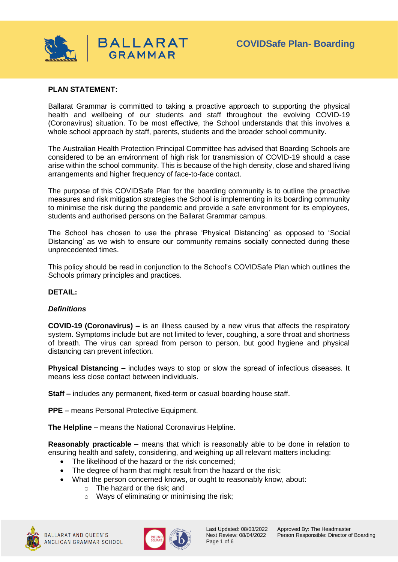

## **PLAN STATEMENT:**

Ballarat Grammar is committed to taking a proactive approach to supporting the physical health and wellbeing of our students and staff throughout the evolving COVID-19 (Coronavirus) situation. To be most effective, the School understands that this involves a whole school approach by staff, parents, students and the broader school community.

The Australian Health Protection Principal Committee has advised that Boarding Schools are considered to be an environment of high risk for transmission of COVID-19 should a case arise within the school community. This is because of the high density, close and shared living arrangements and higher frequency of face-to-face contact.

The purpose of this COVIDSafe Plan for the boarding community is to outline the proactive measures and risk mitigation strategies the School is implementing in its boarding community to minimise the risk during the pandemic and provide a safe environment for its employees, students and authorised persons on the Ballarat Grammar campus.

The School has chosen to use the phrase 'Physical Distancing' as opposed to 'Social Distancing' as we wish to ensure our community remains socially connected during these unprecedented times.

This policy should be read in conjunction to the School's COVIDSafe Plan which outlines the Schools primary principles and practices.

## **DETAIL:**

#### *Definitions*

**COVID-19 (Coronavirus) –** is an illness caused by a new virus that affects the respiratory system. Symptoms include but are not limited to fever, coughing, a sore throat and shortness of breath. The virus can spread from person to person, but good hygiene and physical distancing can prevent infection.

**Physical Distancing –** includes ways to stop or slow the spread of infectious diseases. It means less close contact between individuals.

**Staff –** includes any permanent, fixed-term or casual boarding house staff.

**PPE –** means Personal Protective Equipment.

**The Helpline –** means the National Coronavirus Helpline.

**Reasonably practicable –** means that which is reasonably able to be done in relation to ensuring health and safety, considering, and weighing up all relevant matters including:

- The likelihood of the hazard or the risk concerned;
- The degree of harm that might result from the hazard or the risk:
- What the person concerned knows, or ought to reasonably know, about:
	- o The hazard or the risk; and
		- o Ways of eliminating or minimising the risk;





Page 1 of 6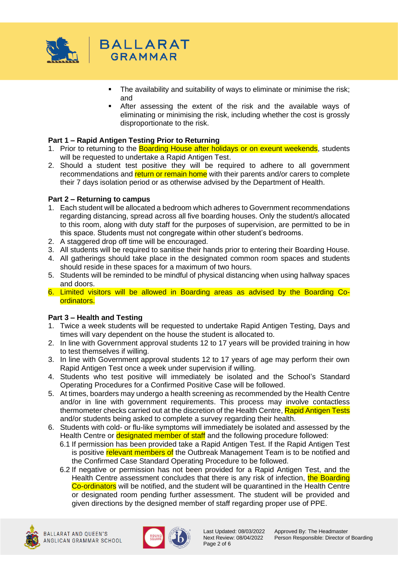

- **•** The availability and suitability of ways to eliminate or minimise the risk; and
- After assessing the extent of the risk and the available ways of eliminating or minimising the risk, including whether the cost is grossly disproportionate to the risk.

## **Part 1 – Rapid Antigen Testing Prior to Returning**

- 1. Prior to returning to the **Boarding House after holidays or on exeunt weekends**, students will be requested to undertake a Rapid Antigen Test.
- 2. Should a student test positive they will be required to adhere to all government recommendations and return or remain home with their parents and/or carers to complete their 7 days isolation period or as otherwise advised by the Department of Health.

## **Part 2 – Returning to campus**

- 1. Each student will be allocated a bedroom which adheres to Government recommendations regarding distancing, spread across all five boarding houses. Only the student/s allocated to this room, along with duty staff for the purposes of supervision, are permitted to be in this space. Students must not congregate within other student's bedrooms.
- 2. A staggered drop off time will be encouraged.
- 3. All students will be required to sanitise their hands prior to entering their Boarding House.
- 4. All gatherings should take place in the designated common room spaces and students should reside in these spaces for a maximum of two hours.
- 5. Students will be reminded to be mindful of physical distancing when using hallway spaces and doors.
- 6. Limited visitors will be allowed in Boarding areas as advised by the Boarding Coordinators.

# **Part 3 – Health and Testing**

- 1. Twice a week students will be requested to undertake Rapid Antigen Testing, Days and times will vary dependent on the house the student is allocated to.
- 2. In line with Government approval students 12 to 17 years will be provided training in how to test themselves if willing.
- 3. In line with Government approval students 12 to 17 years of age may perform their own Rapid Antigen Test once a week under supervision if willing.
- 4. Students who test positive will immediately be isolated and the School's Standard Operating Procedures for a Confirmed Positive Case will be followed.
- 5. At times, boarders may undergo a health screening as recommended by the Health Centre and/or in line with government requirements. This process may involve contactless thermometer checks carried out at the discretion of the Health Centre, Rapid Antigen Tests and/or students being asked to complete a survey regarding their health.
- 6. Students with cold- or flu-like symptoms will immediately be isolated and assessed by the Health Centre or **designated member of staff** and the following procedure followed:
	- 6.1 If permission has been provided take a Rapid Antigen Test. If the Rapid Antigen Test is positive relevant members of the Outbreak Management Team is to be notified and the Confirmed Case Standard Operating Procedure to be followed.
	- 6.2 If negative or permission has not been provided for a Rapid Antigen Test, and the Health Centre assessment concludes that there is any risk of infection, the Boarding Co-ordinators will be notified, and the student will be quarantined in the Health Centre or designated room pending further assessment. The student will be provided and given directions by the designed member of staff regarding proper use of PPE.

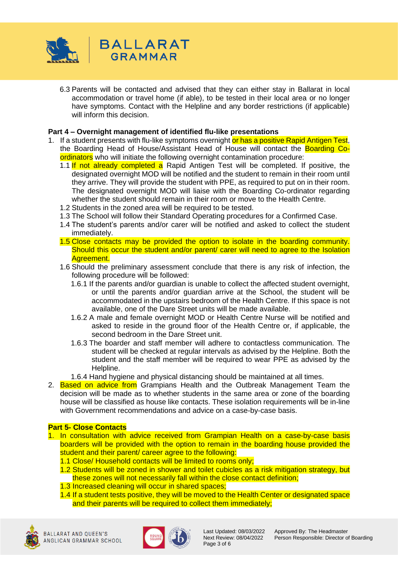

6.3 Parents will be contacted and advised that they can either stay in Ballarat in local accommodation or travel home (if able), to be tested in their local area or no longer have symptoms. Contact with the Helpline and any border restrictions (if applicable) will inform this decision.

### **Part 4 – Overnight management of identified flu-like presentations**

- 1. If a student presents with flu-like symptoms overnight or has a positive Rapid Antigen Test, the Boarding Head of House/Assistant Head of House will contact the Boarding Coordinators who will initiate the following overnight contamination procedure:
	- 1.1 If not already completed a Rapid Antigen Test will be completed. If positive, the designated overnight MOD will be notified and the student to remain in their room until they arrive. They will provide the student with PPE, as required to put on in their room. The designated overnight MOD will liaise with the Boarding Co-ordinator regarding whether the student should remain in their room or move to the Health Centre.
	- 1.2 Students in the zoned area will be required to be tested.
	- 1.3 The School will follow their Standard Operating procedures for a Confirmed Case.
	- 1.4 The student's parents and/or carer will be notified and asked to collect the student immediately.
	- 1.5 Close contacts may be provided the option to isolate in the boarding community. Should this occur the student and/or parent/ carer will need to agree to the Isolation Agreement.
	- 1.6 Should the preliminary assessment conclude that there is any risk of infection, the following procedure will be followed:
		- 1.6.1 If the parents and/or guardian is unable to collect the affected student overnight, or until the parents and/or guardian arrive at the School, the student will be accommodated in the upstairs bedroom of the Health Centre. If this space is not available, one of the Dare Street units will be made available.
		- 1.6.2 A male and female overnight MOD or Health Centre Nurse will be notified and asked to reside in the ground floor of the Health Centre or, if applicable, the second bedroom in the Dare Street unit.
		- 1.6.3 The boarder and staff member will adhere to contactless communication. The student will be checked at regular intervals as advised by the Helpline. Both the student and the staff member will be required to wear PPE as advised by the Helpline.
		- 1.6.4 Hand hygiene and physical distancing should be maintained at all times.
- 2. Based on advice from Grampians Health and the Outbreak Management Team the decision will be made as to whether students in the same area or zone of the boarding house will be classified as house like contacts. These isolation requirements will be in-line with Government recommendations and advice on a case-by-case basis.

#### **Part 5- Close Contacts**

- 1. In consultation with advice received from Grampian Health on a case-by-case basis boarders will be provided with the option to remain in the boarding house provided the student and their parent/ career agree to the following:
	- 1.1 Close/ Household contacts will be limited to rooms only;
	- 1.2 Students will be zoned in shower and toilet cubicles as a risk mitigation strategy, but these zones will not necessarily fall within the close contact definition;
	- 1.3 Increased cleaning will occur in shared spaces;
	- 1.4 If a student tests positive, they will be moved to the Health Center or designated space and their parents will be required to collect them immediately;





Page 3 of 6

Last Updated: 08/03/2022 Approved By: The Headmaster<br>Next Review: 08/04/2022 Person Responsible: Director of Person Responsible: Director of Boarding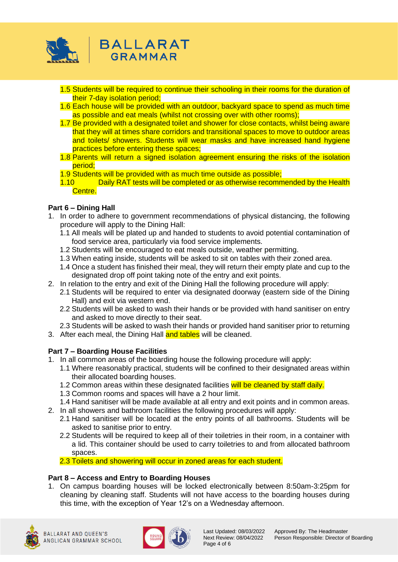

- 1.5 Students will be required to continue their schooling in their rooms for the duration of their 7-day isolation period;
- 1.6 Each house will be provided with an outdoor, backyard space to spend as much time as possible and eat meals (whilst not crossing over with other rooms);
- 1.7 Be provided with a designated toilet and shower for close contacts, whilst being aware that they will at times share corridors and transitional spaces to move to outdoor areas and toilets/ showers. Students will wear masks and have increased hand hygiene practices before entering these spaces;
- 1.8 Parents will return a signed isolation agreement ensuring the risks of the isolation period;
- 1.9 Students will be provided with as much time outside as possible;

**BALLARAT** GRAMMAR

1.10 Daily RAT tests will be completed or as otherwise recommended by the Health Centre.

## **Part 6 – Dining Hall**

- 1. In order to adhere to government recommendations of physical distancing, the following procedure will apply to the Dining Hall:
	- 1.1 All meals will be plated up and handed to students to avoid potential contamination of food service area, particularly via food service implements.
	- 1.2 Students will be encouraged to eat meals outside, weather permitting.
	- 1.3 When eating inside, students will be asked to sit on tables with their zoned area.
	- 1.4 Once a student has finished their meal, they will return their empty plate and cup to the designated drop off point taking note of the entry and exit points.
- 2. In relation to the entry and exit of the Dining Hall the following procedure will apply:
	- 2.1 Students will be required to enter via designated doorway (eastern side of the Dining Hall) and exit via western end.
	- 2.2 Students will be asked to wash their hands or be provided with hand sanitiser on entry and asked to move directly to their seat.
- 2.3 Students will be asked to wash their hands or provided hand sanitiser prior to returning
- 3. After each meal, the Dining Hall and tables will be cleaned.

## **Part 7 – Boarding House Facilities**

- 1. In all common areas of the boarding house the following procedure will apply:
	- 1.1 Where reasonably practical, students will be confined to their designated areas within their allocated boarding houses.
	- 1.2 Common areas within these designated facilities will be cleaned by staff daily.
	- 1.3 Common rooms and spaces will have a 2 hour limit.
	- 1.4 Hand sanitiser will be made available at all entry and exit points and in common areas.
- 2. In all showers and bathroom facilities the following procedures will apply:
	- 2.1 Hand sanitiser will be located at the entry points of all bathrooms. Students will be asked to sanitise prior to entry.
	- 2.2 Students will be required to keep all of their toiletries in their room, in a container with a lid. This container should be used to carry toiletries to and from allocated bathroom spaces.

2.3 Toilets and showering will occur in zoned areas for each student.

## **Part 8 – Access and Entry to Boarding Houses**

1. On campus boarding houses will be locked electronically between 8:50am-3:25pm for cleaning by cleaning staff. Students will not have access to the boarding houses during this time, with the exception of Year 12's on a Wednesday afternoon.

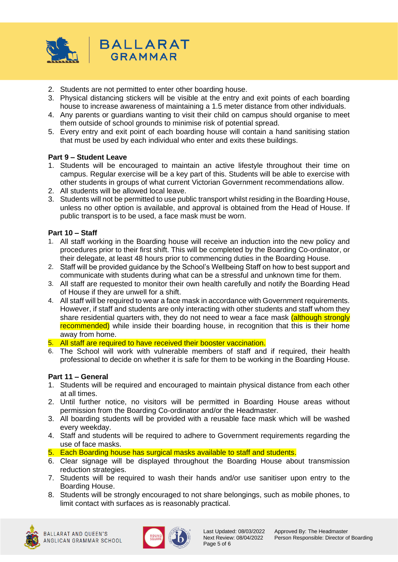

- 2. Students are not permitted to enter other boarding house.
- 3. Physical distancing stickers will be visible at the entry and exit points of each boarding house to increase awareness of maintaining a 1.5 meter distance from other individuals.
- 4. Any parents or guardians wanting to visit their child on campus should organise to meet them outside of school grounds to minimise risk of potential spread.
- 5. Every entry and exit point of each boarding house will contain a hand sanitising station that must be used by each individual who enter and exits these buildings.

## **Part 9 – Student Leave**

- 1. Students will be encouraged to maintain an active lifestyle throughout their time on campus. Regular exercise will be a key part of this. Students will be able to exercise with other students in groups of what current Victorian Government recommendations allow.
- 2. All students will be allowed local leave.
- 3. Students will not be permitted to use public transport whilst residing in the Boarding House, unless no other option is available, and approval is obtained from the Head of House. If public transport is to be used, a face mask must be worn.

### **Part 10 – Staff**

- 1. All staff working in the Boarding house will receive an induction into the new policy and procedures prior to their first shift. This will be completed by the Boarding Co-ordinator, or their delegate, at least 48 hours prior to commencing duties in the Boarding House.
- 2. Staff will be provided guidance by the School's Wellbeing Staff on how to best support and communicate with students during what can be a stressful and unknown time for them.
- 3. All staff are requested to monitor their own health carefully and notify the Boarding Head of House if they are unwell for a shift.
- 4. All staff will be required to wear a face mask in accordance with Government requirements. However, if staff and students are only interacting with other students and staff whom they share residential quarters with, they do not need to wear a face mask (although strongly recommended) while inside their boarding house, in recognition that this is their home away from home.
- 5. All staff are required to have received their booster vaccination.
- 6. The School will work with vulnerable members of staff and if required, their health professional to decide on whether it is safe for them to be working in the Boarding House.

#### **Part 11 – General**

- 1. Students will be required and encouraged to maintain physical distance from each other at all times.
- 2. Until further notice, no visitors will be permitted in Boarding House areas without permission from the Boarding Co-ordinator and/or the Headmaster.
- 3. All boarding students will be provided with a reusable face mask which will be washed every weekday.
- 4. Staff and students will be required to adhere to Government requirements regarding the use of face masks.
- 5. Each Boarding house has surgical masks available to staff and students.
- 6. Clear signage will be displayed throughout the Boarding House about transmission reduction strategies.
- 7. Students will be required to wash their hands and/or use sanitiser upon entry to the Boarding House.
- 8. Students will be strongly encouraged to not share belongings, such as mobile phones, to limit contact with surfaces as is reasonably practical.